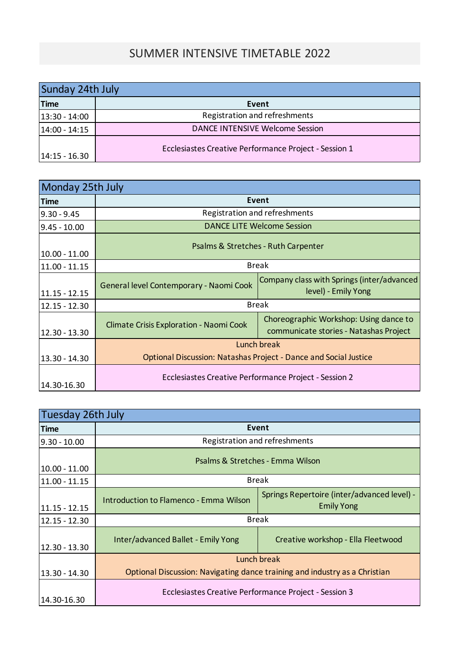## SUMMER INTENSIVE TIMETABLE 2022

| Sunday 24th July |                                                       |  |  |
|------------------|-------------------------------------------------------|--|--|
| <b>Time</b>      | Event                                                 |  |  |
| $13:30 - 14:00$  | Registration and refreshments                         |  |  |
| $14:00 - 14:15$  | <b>DANCE INTENSIVE Welcome Session</b>                |  |  |
| $14:15 - 16.30$  | Ecclesiastes Creative Performance Project - Session 1 |  |  |

| Monday 25th July |                                                                         |                                                                                  |  |  |
|------------------|-------------------------------------------------------------------------|----------------------------------------------------------------------------------|--|--|
| <b>Time</b>      | Event                                                                   |                                                                                  |  |  |
| $9.30 - 9.45$    | Registration and refreshments                                           |                                                                                  |  |  |
| $9.45 - 10.00$   | <b>DANCE LITE Welcome Session</b>                                       |                                                                                  |  |  |
| $10.00 - 11.00$  | Psalms & Stretches - Ruth Carpenter                                     |                                                                                  |  |  |
| 11.00 - 11.15    | <b>Break</b>                                                            |                                                                                  |  |  |
| $11.15 - 12.15$  | General level Contemporary - Naomi Cook                                 | Company class with Springs (inter/advanced<br>level) - Emily Yong                |  |  |
| 12.15 - 12.30    | <b>Break</b>                                                            |                                                                                  |  |  |
| 12.30 - 13.30    | Climate Crisis Exploration - Naomi Cook                                 | Choreographic Workshop: Using dance to<br>communicate stories - Natashas Project |  |  |
|                  | Lunch break                                                             |                                                                                  |  |  |
| 13.30 - 14.30    | <b>Optional Discussion: Natashas Project - Dance and Social Justice</b> |                                                                                  |  |  |
| 14.30-16.30      | Ecclesiastes Creative Performance Project - Session 2                   |                                                                                  |  |  |

| Tuesday 26th July |                                                                            |                                                                  |  |  |
|-------------------|----------------------------------------------------------------------------|------------------------------------------------------------------|--|--|
| <b>Time</b>       | Event                                                                      |                                                                  |  |  |
| $9.30 - 10.00$    | Registration and refreshments                                              |                                                                  |  |  |
| $10.00 - 11.00$   | Psalms & Stretches - Emma Wilson                                           |                                                                  |  |  |
| $11.00 - 11.15$   | <b>Break</b>                                                               |                                                                  |  |  |
| $11.15 - 12.15$   | Introduction to Flamenco - Emma Wilson                                     | Springs Repertoire (inter/advanced level) -<br><b>Emily Yong</b> |  |  |
| $12.15 - 12.30$   | <b>Break</b>                                                               |                                                                  |  |  |
| $12.30 - 13.30$   | Inter/advanced Ballet - Emily Yong                                         | Creative workshop - Ella Fleetwood                               |  |  |
|                   | Lunch break                                                                |                                                                  |  |  |
| 13.30 - 14.30     | Optional Discussion: Navigating dance training and industry as a Christian |                                                                  |  |  |
| 14.30-16.30       | Ecclesiastes Creative Performance Project - Session 3                      |                                                                  |  |  |